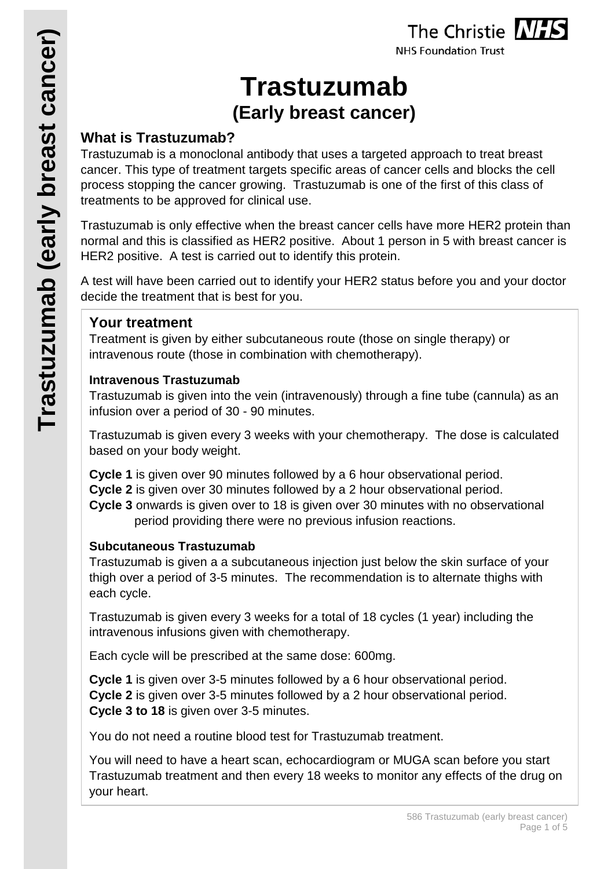# **Trastuzumab (Early breast cancer)**

# **What is Trastuzumab?**

Trastuzumab is a monoclonal antibody that uses a targeted approach to treat breast cancer. This type of treatment targets specific areas of cancer cells and blocks the cell process stopping the cancer growing. Trastuzumab is one of the first of this class of treatments to be approved for clinical use.

Trastuzumab is only effective when the breast cancer cells have more HER2 protein than normal and this is classified as HER2 positive. About 1 person in 5 with breast cancer is HER2 positive. A test is carried out to identify this protein.

A test will have been carried out to identify your HER2 status before you and your doctor decide the treatment that is best for you.

## **Your treatment**

Treatment is given by either subcutaneous route (those on single therapy) or intravenous route (those in combination with chemotherapy).

## **Intravenous Trastuzumab**

Trastuzumab is given into the vein (intravenously) through a fine tube (cannula) as an infusion over a period of 30 - 90 minutes.

Trastuzumab is given every 3 weeks with your chemotherapy. The dose is calculated based on your body weight.

**Cycle 1** is given over 90 minutes followed by a 6 hour observational period.

**Cycle 2** is given over 30 minutes followed by a 2 hour observational period.

**Cycle 3** onwards is given over to 18 is given over 30 minutes with no observational period providing there were no previous infusion reactions.

## **Subcutaneous Trastuzumab**

Trastuzumab is given a a subcutaneous injection just below the skin surface of your thigh over a period of 3-5 minutes. The recommendation is to alternate thighs with each cycle.

Trastuzumab is given every 3 weeks for a total of 18 cycles (1 year) including the intravenous infusions given with chemotherapy.

Each cycle will be prescribed at the same dose: 600mg.

**Cycle 1** is given over 3-5 minutes followed by a 6 hour observational period. **Cycle 2** is given over 3-5 minutes followed by a 2 hour observational period. **Cycle 3 to 18** is given over 3-5 minutes.

You do not need a routine blood test for Trastuzumab treatment.

You will need to have a heart scan, echocardiogram or MUGA scan before you start Trastuzumab treatment and then every 18 weeks to monitor any effects of the drug on your heart.

The Christie NHS **NHS Foundation Trust**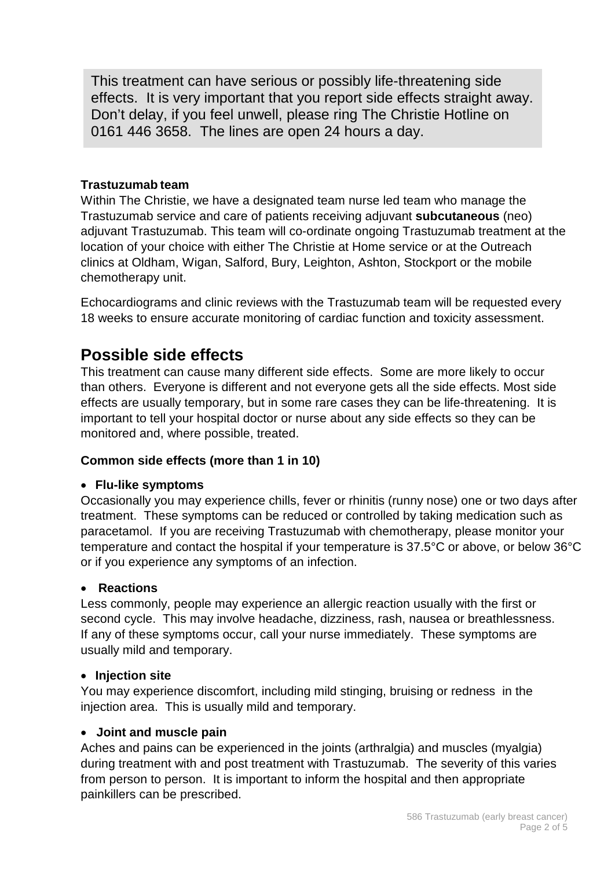This treatment can have serious or possibly life-threatening side effects. It is very important that you report side effects straight away. Don't delay, if you feel unwell, please ring The Christie Hotline on 0161 446 3658. The lines are open 24 hours a day.

#### **Trastuzumab team**

Within The Christie, we have a designated team nurse led team who manage the Trastuzumab service and care of patients receiving adjuvant **subcutaneous** (neo) adjuvant Trastuzumab. This team will co-ordinate ongoing Trastuzumab treatment at the location of your choice with either The Christie at Home service or at the Outreach clinics at Oldham, Wigan, Salford, Bury, Leighton, Ashton, Stockport or the mobile chemotherapy unit.

Echocardiograms and clinic reviews with the Trastuzumab team will be requested every 18 weeks to ensure accurate monitoring of cardiac function and toxicity assessment.

# **Possible side effects**

This treatment can cause many different side effects. Some are more likely to occur than others. Everyone is different and not everyone gets all the side effects. Most side effects are usually temporary, but in some rare cases they can be life-threatening. It is important to tell your hospital doctor or nurse about any side effects so they can be monitored and, where possible, treated.

#### **Common side effects (more than 1 in 10)**

#### • **Flu-like symptoms**

Occasionally you may experience chills, fever or rhinitis (runny nose) one or two days after treatment. These symptoms can be reduced or controlled by taking medication such as paracetamol. If you are receiving Trastuzumab with chemotherapy, please monitor your temperature and contact the hospital if your temperature is 37.5°C or above, or below 36°C or if you experience any symptoms of an infection.

#### • **Reactions**

Less commonly, people may experience an allergic reaction usually with the first or second cycle. This may involve headache, dizziness, rash, nausea or breathlessness. If any of these symptoms occur, call your nurse immediately. These symptoms are usually mild and temporary.

#### • **Injection site**

You may experience discomfort, including mild stinging, bruising or redness in the injection area. This is usually mild and temporary.

#### • **Joint and muscle pain**

Aches and pains can be experienced in the joints (arthralgia) and muscles (myalgia) during treatment with and post treatment with Trastuzumab. The severity of this varies from person to person. It is important to inform the hospital and then appropriate painkillers can be prescribed.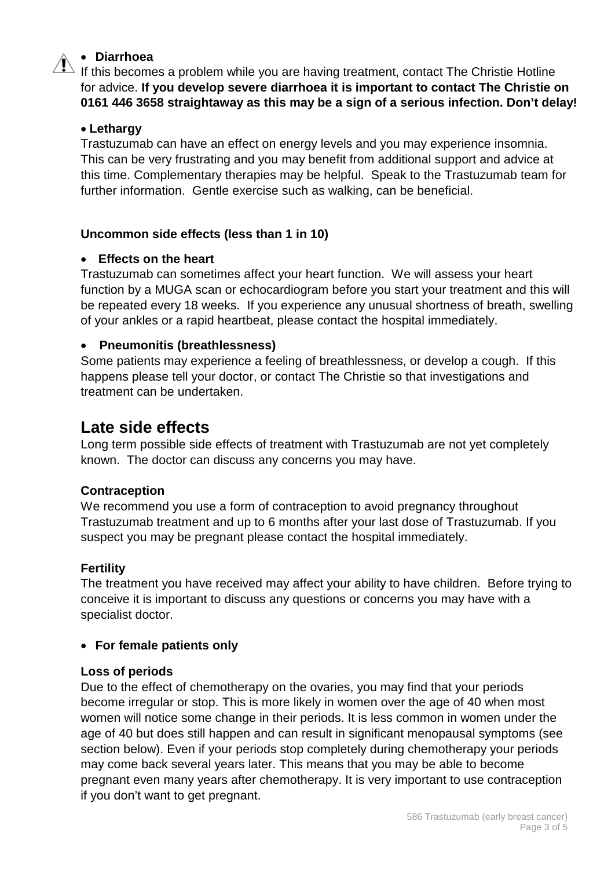#### • **Diarrhoea**

 $\triangle$  If this becomes a problem while you are having treatment, contact The Christie Hotline for advice. **If you develop severe diarrhoea it is important to contact The Christie on 0161 446 3658 straightaway as this may be a sign of a serious infection. Don't delay!**

#### • **Lethargy**

Trastuzumab can have an effect on energy levels and you may experience insomnia. This can be very frustrating and you may benefit from additional support and advice at this time. Complementary therapies may be helpful. Speak to the Trastuzumab team for further information. Gentle exercise such as walking, can be beneficial.

#### **Uncommon side effects (less than 1 in 10)**

#### • **Effects on the heart**

Trastuzumab can sometimes affect your heart function. We will assess your heart function by a MUGA scan or echocardiogram before you start your treatment and this will be repeated every 18 weeks. If you experience any unusual shortness of breath, swelling of your ankles or a rapid heartbeat, please contact the hospital immediately.

#### • **Pneumonitis (breathlessness)**

Some patients may experience a feeling of breathlessness, or develop a cough. If this happens please tell your doctor, or contact The Christie so that investigations and treatment can be undertaken.

# **Late side effects**

Long term possible side effects of treatment with Trastuzumab are not yet completely known. The doctor can discuss any concerns you may have.

#### **Contraception**

We recommend you use a form of contraception to avoid pregnancy throughout Trastuzumab treatment and up to 6 months after your last dose of Trastuzumab. If you suspect you may be pregnant please contact the hospital immediately.

#### **Fertility**

The treatment you have received may affect your ability to have children. Before trying to conceive it is important to discuss any questions or concerns you may have with a specialist doctor.

#### • **For female patients only**

#### **Loss of periods**

Due to the effect of chemotherapy on the ovaries, you may find that your periods become irregular or stop. This is more likely in women over the age of 40 when most women will notice some change in their periods. It is less common in women under the age of 40 but does still happen and can result in significant menopausal symptoms (see section below). Even if your periods stop completely during chemotherapy your periods may come back several years later. This means that you may be able to become pregnant even many years after chemotherapy. It is very important to use contraception if you don't want to get pregnant.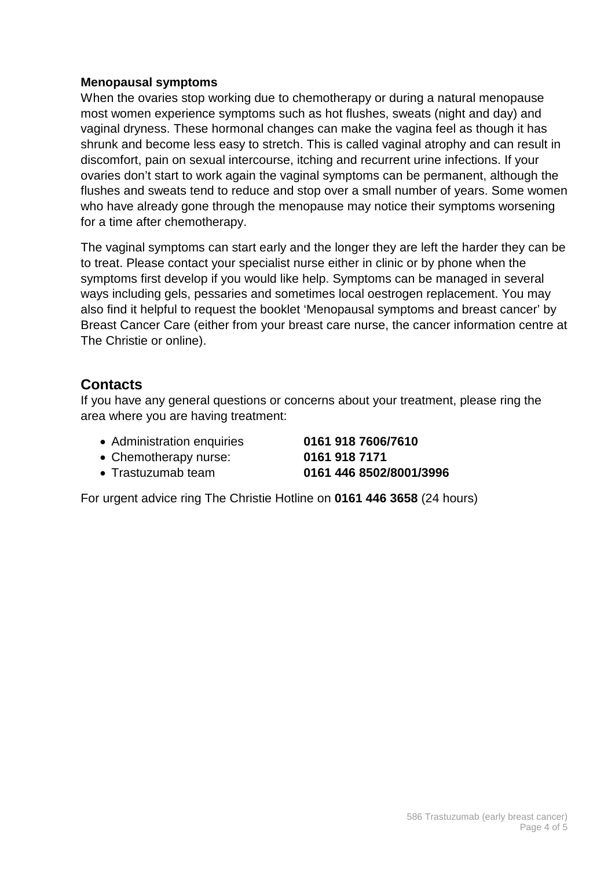#### **Menopausal symptoms**

When the ovaries stop working due to chemotherapy or during a natural menopause most women experience symptoms such as hot flushes, sweats (night and day) and vaginal dryness. These hormonal changes can make the vagina feel as though it has shrunk and become less easy to stretch. This is called vaginal atrophy and can result in discomfort, pain on sexual intercourse, itching and recurrent urine infections. If your ovaries don't start to work again the vaginal symptoms can be permanent, although the flushes and sweats tend to reduce and stop over a small number of years. Some women who have already gone through the menopause may notice their symptoms worsening for a time after chemotherapy.

The vaginal symptoms can start early and the longer they are left the harder they can be to treat. Please contact your specialist nurse either in clinic or by phone when the symptoms first develop if you would like help. Symptoms can be managed in several ways including gels, pessaries and sometimes local oestrogen replacement. You may also find it helpful to request the booklet 'Menopausal symptoms and breast cancer' by Breast Cancer Care (either from your breast care nurse, the cancer information centre at The Christie or online).

## **Contacts**

If you have any general questions or concerns about your treatment, please ring the area where you are having treatment:

• Administration enquiries **0161 918 7606/7610**

• Chemotherapy nurse: **0161 918 7171**

• Trastuzumab team **0161 446 8502/8001/3996**

For urgent advice ring The Christie Hotline on **0161 446 3658** (24 hours)